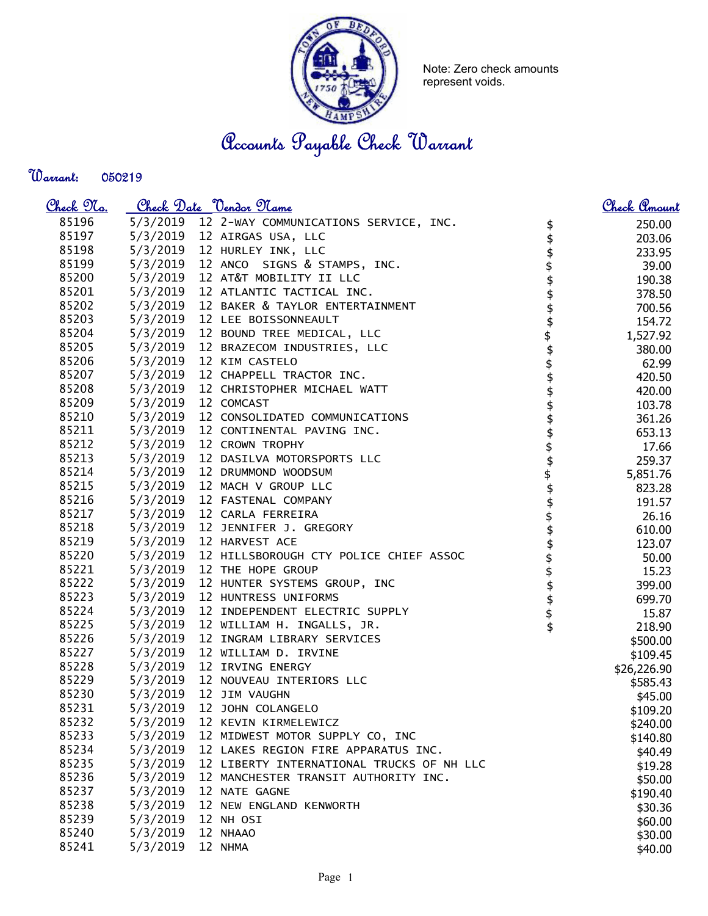

Note: Zero check amounts represent voids.

Accounts Payable Check Warrant

Warrant: 

| <u>Check 97a.</u> |          | <u>Check Date "Vendor Name</u>                                    | Check Amount        |
|-------------------|----------|-------------------------------------------------------------------|---------------------|
| 85196             |          | 5/3/2019 12 2-WAY COMMUNICATIONS SERVICE, INC.<br>\$              | 250.00              |
| 85197             |          | 5/3/2019 12 AIRGAS USA, LLC<br>\$                                 | 203.06              |
| 85198             |          | 5/3/2019 12 HURLEY INK, LLC                                       | 233.95              |
| 85199             |          | 5/3/2019 12 ANCO SIGNS & STAMPS, INC.                             | 39.00               |
| 85200             |          | 5/3/2019 12 AT&T MOBILITY II LLC                                  | 190.38              |
| 85201             |          | 5/3/2019 12 ATLANTIC TACTICAL INC.                                | 378.50              |
| 85202             |          | 5/3/2019 12 BAKER & TAYLOR ENTERTAINMENT                          | 700.56              |
| 85203             |          | 5/3/2019 12 LEE BOISSONNEAULT                                     | 154.72              |
| 85204             |          | \$\$\$\$\$\$\$\$\$\$\$\$<br>5/3/2019 12 BOUND TREE MEDICAL, LLC   | 1,527.92            |
| 85205             |          | 5/3/2019 12 BRAZECOM INDUSTRIES, LLC                              | 380.00              |
| 85206             |          | 5/3/2019 12 KIM CASTELO                                           | 62.99               |
| 85207             |          | 5/3/2019 12 CHAPPELL TRACTOR INC.                                 | 420.50              |
| 85208             |          | 5/3/2019 12 CHRISTOPHER MICHAEL WATT                              | 420.00              |
| 85209             |          | 5/3/2019 12 COMCAST                                               | 103.78              |
| 85210             |          | 5/3/2019 12 CONSOLIDATED COMMUNICATIONS                           | 361.26              |
| 85211             |          | 5/3/2019 12 CONTINENTAL PAVING INC.                               | 653.13              |
| 85212             |          | 5/3/2019 12 CROWN TROPHY                                          | 17.66               |
| 85213             |          | 5/3/2019 12 DASILVA MOTORSPORTS LLC                               | 259.37              |
| 85214             |          | 5/3/2019 12 DRUMMOND WOODSUM                                      | 5,851.76            |
| 85215             |          | 5/3/2019 12 MACH V GROUP LLC                                      | 823.28              |
| 85216             |          | 5/3/2019 12 FASTENAL COMPANY                                      | 191.57              |
| 85217             |          | 5/3/2019 12 CARLA FERREIRA                                        | 26.16               |
| 85218             |          | 5/3/2019 12 JENNIFER J. GREGORY                                   | 610.00              |
| 85219             |          | \$\$\$\$\$\$\$\$\$\$\$\$\$\$\$\$\$\$\$<br>5/3/2019 12 HARVEST ACE | 123.07              |
| 85220             |          | 5/3/2019 12 HILLSBOROUGH CTY POLICE CHIEF ASSOC                   | 50.00               |
| 85221             |          | 5/3/2019 12 THE HOPE GROUP                                        | 15.23               |
| 85222             |          | 5/3/2019 12 HUNTER SYSTEMS GROUP, INC                             | 399.00              |
| 85223             |          | 5/3/2019 12 HUNTRESS UNIFORMS                                     | 699.70              |
| 85224             |          | 5/3/2019 12 INDEPENDENT ELECTRIC SUPPLY                           | 15.87               |
| 85225             |          | 5/3/2019 12 WILLIAM H. INGALLS, JR.                               | 218.90              |
| 85226             |          | 5/3/2019 12 INGRAM LIBRARY SERVICES                               | \$500.00            |
| 85227             | 5/3/2019 | 12 WILLIAM D. IRVINE                                              | \$109.45            |
| 85228             |          | 5/3/2019 12 IRVING ENERGY                                         | \$26,226.90         |
| 85229             |          | 5/3/2019 12 NOUVEAU INTERIORS LLC                                 | \$585.43            |
| 85230             |          | 5/3/2019 12 JIM VAUGHN                                            | \$45.00             |
| 85231             | 5/3/2019 | 12 JOHN COLANGELO                                                 | \$109.20            |
| 85232             | 5/3/2019 | 12 KEVIN KIRMELEWICZ                                              | \$240.00            |
| 85233             | 5/3/2019 | 12 MIDWEST MOTOR SUPPLY CO, INC                                   | \$140.80            |
| 85234             | 5/3/2019 | 12 LAKES REGION FIRE APPARATUS INC.                               | \$40.49             |
| 85235             | 5/3/2019 | 12 LIBERTY INTERNATIONAL TRUCKS OF NH LLC                         | \$19.28             |
| 85236             | 5/3/2019 | 12 MANCHESTER TRANSIT AUTHORITY INC.                              | \$50.00             |
| 85237             | 5/3/2019 | 12 NATE GAGNE                                                     |                     |
| 85238             | 5/3/2019 | 12 NEW ENGLAND KENWORTH                                           | \$190.40<br>\$30.36 |
| 85239             | 5/3/2019 | 12 NH OSI                                                         |                     |
| 85240             | 5/3/2019 | 12 NHAAO                                                          | \$60.00             |
| 85241             | 5/3/2019 | 12 NHMA                                                           | \$30.00             |
|                   |          |                                                                   | \$40.00             |